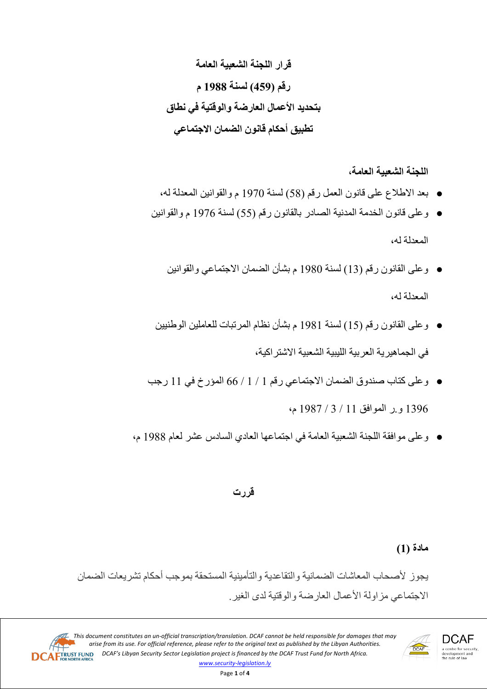**اللجنة الشعبیة العامة،**

- بعد الاطلاع على قانون العمل رقم (58) لسنة 1970 م والقوانین المعدلة لھ،
- وعلى قانون الخدمة المدنیة الصادر بالقانون رقم (55) لسنة 1976 م والقوانین

المعدلة لھ،

- وعلى القانون رقم (13) لسنة 1980 م بشأن الضمان الاجتماعي والقوانین المعدلة لھ،
- وعلى القانون رقم (15) لسنة 1981 م بشأن نظام المرتبات للعاملین الوطنیین في الجماھیریة العربیة اللیبیة الشعبیة الاشتراكیة،
- وعلى كتاب صندوق الضمان الاجتماعي رقم 1 / 1 / 66 المؤرخ في 11 رجب 1396 و.ر الموافق 11 / 3 / 1987 م،
- وعلى موافقة اللجنة الشعبیة العامة في اجتماعھا العادي السادس عشر لعام 1988 م،

# **قررت**

# **مادة (1)**

یجوز لأصحاب المعاشات الضمانیة والتقاعدیة والتأمینیة المستحقة بموجب أحكام تشریعات الضمان الاجتماعي مزاولة الأعمال العارضة والوقتیة لدى الغیر.



**DCAF** a centre for security,<br>development and<br>the rule of law

This document constitutes an un-official transcription/translation. DCAF cannot be held responsible for damages that may arise from its use. For official reference, please refer to the original text as published by the Libyan Authorities. **DCAFTRUST FUND** *DCAF's Libyan Security Sector Legislation project is financed by the DCAF Trust Fund for North Africa. www.security-legislation.ly*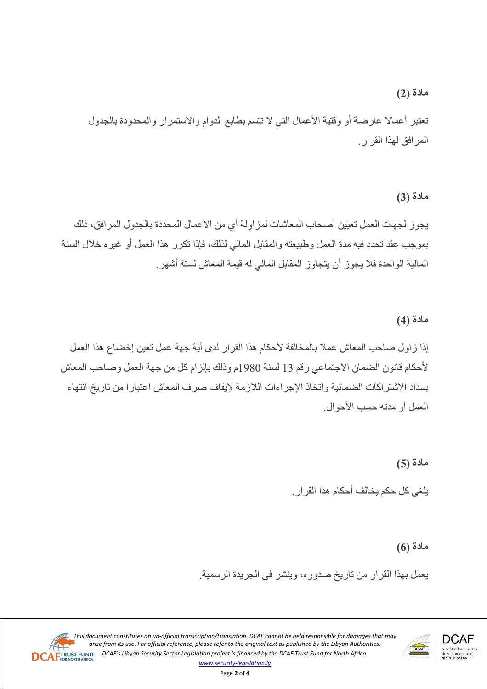#### **مادة (2)**

تعتبر أعمالا عارضة أو وقتیة الأعمال التي لا تتسم بطابع الدوام والاستمرار والمحدودة بالجدول المرافق لھذا القرار.

# **مادة (3)**

یجوز لجھات العمل تعیین أصحاب المعاشات لمزاولة أي من الأعمال المحددة بالجدول المرافق، ذلك بموجب عقد تحدد فیھ مدة العمل وطبیعتھ والمقابل المالي لذلك، فإذا تكرر ھذا العمل أو غیره خلال السنة المالیة الواحدة فلا یجوز أن یتجاوز المقابل المالي لھ قیمة المعاش لستة أشھر.

# **مادة (4)**

إذا زاول صاحب المعاش عملا بالمخالفة لأحكام ھذا القرار لدى أیة جھة عمل تعین إخضاع ھذا العمل لأحكام قانون الضمان الاجتماعي رقم 13 لسنة 1980م وذلك بإلزام كل من جھة العمل وصاحب المعاش بسداد الاشتراكات الضمانیة واتخاذ الإجراءات اللازمة لإیقاف صرف المعاش اعتبارا من تاریخ انتھاء العمل أو مدتھ حسب الأحوال.

> **مادة (5)** یلغى كل حكم یخالف أحكام ھذا القرار.

> > **مادة (6)**

یعمل بھذا القرار من تاریخ صدوره، وینشر في الجریدة الرسمیة.

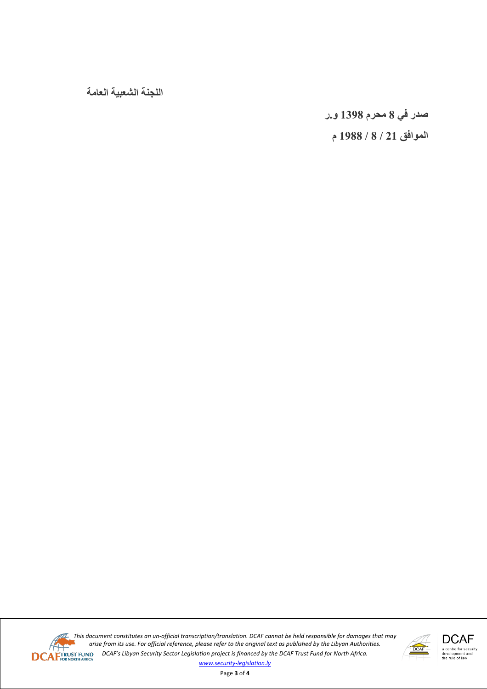**اللجنة الشعبیة العامة**

**صدر في 8 محرم 1398 و.ر**

**الموافق 21 / 8 / 1988 م**